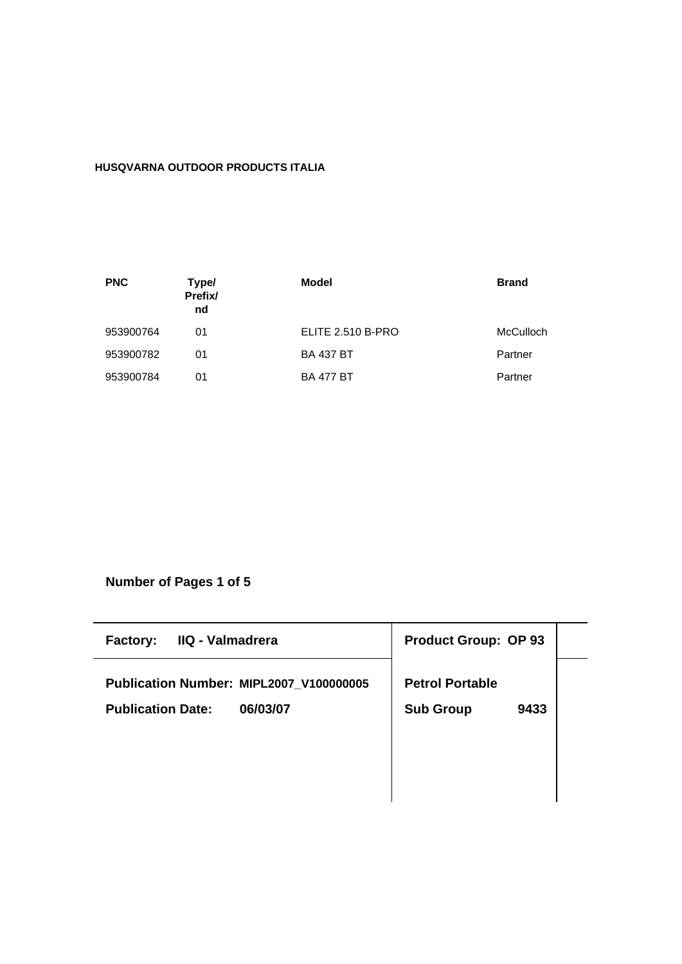# **HUSQVARNA OUTDOOR PRODUCTS ITALIA**

| <b>PNC</b> | Type/<br>Prefix/<br>nd | Model             | <b>Brand</b> |
|------------|------------------------|-------------------|--------------|
| 953900764  | 01                     | ELITE 2.510 B-PRO | McCulloch    |
| 953900782  | 01                     | <b>BA 437 BT</b>  | Partner      |
| 953900784  | 01                     | <b>BA 477 BT</b>  | Partner      |

**Number of Pages 1 of 5**

| IIQ - Valmadrera<br><b>Factory:</b>     | <b>Product Group: OP 93</b> |
|-----------------------------------------|-----------------------------|
| Publication Number: MIPL2007 V100000005 | <b>Petrol Portable</b>      |
| 06/03/07<br><b>Publication Date:</b>    | <b>Sub Group</b><br>9433    |
|                                         |                             |
|                                         |                             |
|                                         |                             |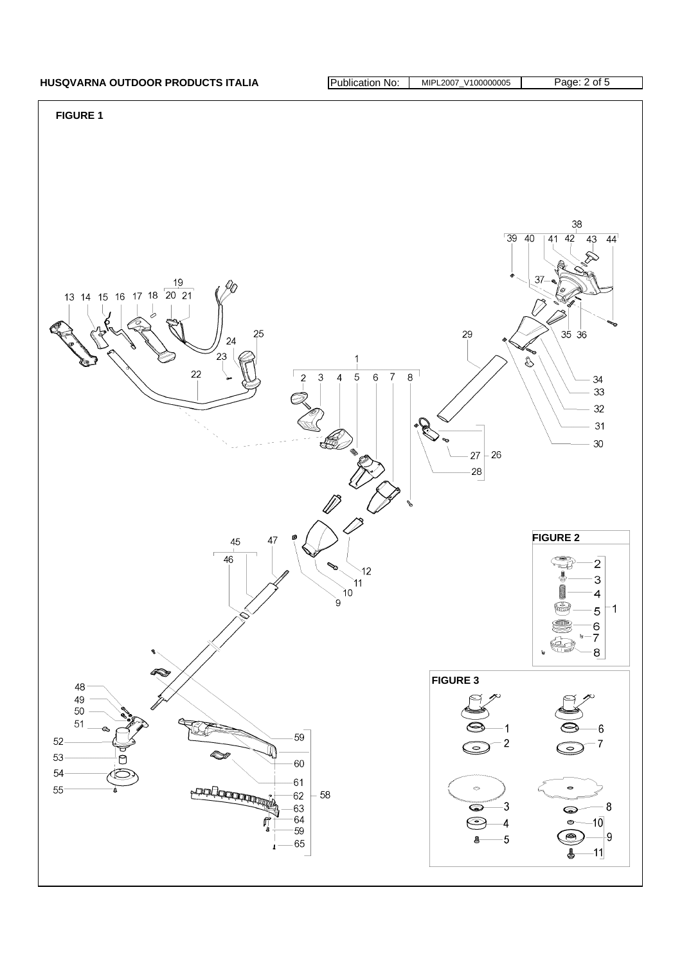# HUSQVARNA OUTDOOR PRODUCTS ITALIA **Publication No: MIPL2007\_V100000005** Page: 2 of 5

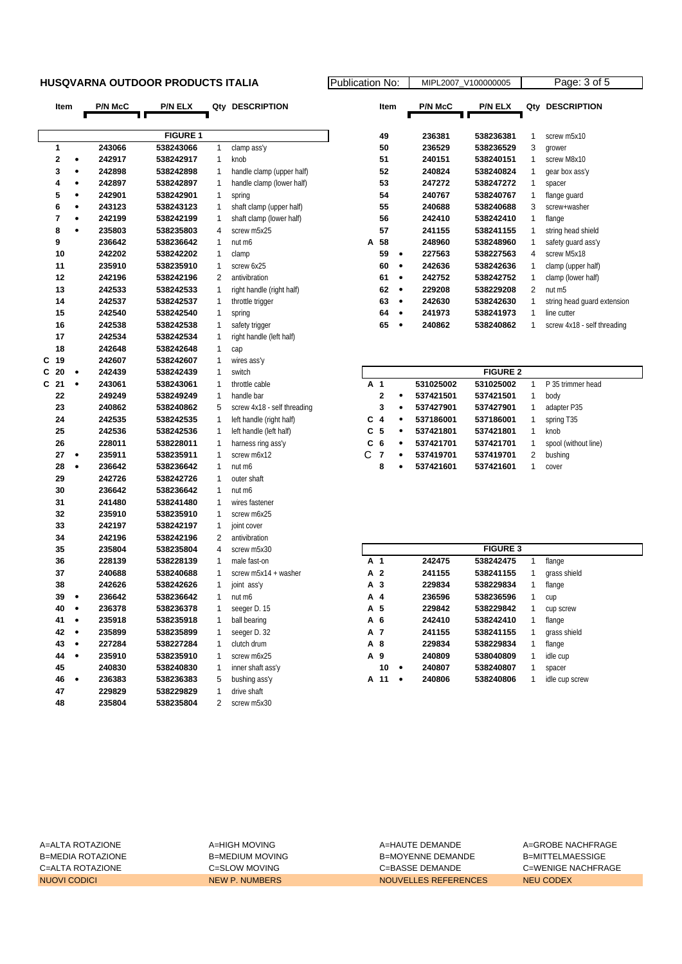## **HUSQVARNA OUTDOOR PRODUCTS ITALIA** Public

| Item           |           | <b>P/N McC</b> | <b>P/N ELX</b>  |                     | Qty DESCRIPTION             |                | Item                |                | P/N McC          | <b>P/N ELX</b>  | Qty            | <b>DESCRIPTION</b>           |
|----------------|-----------|----------------|-----------------|---------------------|-----------------------------|----------------|---------------------|----------------|------------------|-----------------|----------------|------------------------------|
|                |           |                |                 |                     |                             |                |                     |                |                  |                 |                |                              |
|                |           |                | <b>FIGURE 1</b> |                     |                             |                | 49                  |                | 236381           | 538236381       | 1              | screw m5x10                  |
| 1              |           | 243066         | 538243066       | $\mathbf{1}$        | clamp ass'y                 |                | 50                  |                | 236529           | 538236529       | 3              | grower                       |
| 2              | ۰         | 242917         | 538242917       | $\mathbf{1}$        | knob                        |                | 51                  |                | 240151           | 538240151       | 1              | screw M8x10                  |
| 3              | ٠         | 242898         | 538242898       | 1                   | handle clamp (upper half)   |                | 52                  |                | 240824           | 538240824       | 1              | gear box ass'y               |
| 4              | ٠         | 242897         | 538242897       | 1                   | handle clamp (lower half)   |                | 53                  |                | 247272           | 538247272       | 1              | spacer                       |
| 5              | ٠         | 242901         | 538242901       | $\mathbf{1}$        | spring                      |                | 54                  |                | 240767           | 538240767       | $\mathbf{1}$   | flange guard                 |
| 6              | ٠         | 243123         | 538243123       | $\mathbf 1$         | shaft clamp (upper half)    |                | 55                  |                | 240688           | 538240688       | 3              | screw+washer                 |
| 7              | ٠         | 242199         | 538242199       | 1                   | shaft clamp (lower half)    |                | 56                  |                | 242410           | 538242410       | 1              | flange                       |
| 8              | ٠         | 235803         | 538235803       | $\overline{4}$      | screw m5x25                 |                | 57                  |                | 241155           | 538241155       | 1              | string head shield           |
| 9              |           | 236642         | 538236642       | $\mathbf{1}$        | nut m6                      | А              | 58                  |                | 248960           | 538248960       | $\mathbf{1}$   | safety guard ass'y           |
| 10             |           | 242202         | 538242202       | 1                   | clamp                       |                | 59                  | $\bullet$      | 227563           | 538227563       | 4              | screw M5x18                  |
| 11             |           | 235910         | 538235910       | $\mathbf 1$         | screw 6x25                  |                | 60                  | $\bullet$      | 242636           | 538242636       | $\mathbf 1$    | clamp (upper half)           |
| 12             |           | 242196         | 538242196       | 2                   | antivibration               |                | 61                  | $\bullet$      | 242752           | 538242752       | $\mathbf{1}$   |                              |
| 13             |           | 242533         | 538242533       | 1                   | right handle (right half)   |                | 62                  | $\bullet$      | 229208           | 538229208       | $\overline{2}$ | clamp (lower half)<br>nut m5 |
| 14             |           | 242537         | 538242537       | 1                   |                             |                | 63                  | $\bullet$      | 242630           | 538242630       | 1              |                              |
| 15             |           | 242540         | 538242540       | $\mathbf{1}$        | throttle trigger            |                | 64                  | $\bullet$      |                  |                 | $\mathbf{1}$   | string head guard extension  |
| 16             |           | 242538         | 538242538       | 1                   | spring                      |                | 65                  | $\bullet$      | 241973<br>240862 | 538241973       | 1              | line cutter                  |
| 17             |           | 242534         | 538242534       | $\mathbf 1$         | safety trigger              |                |                     |                |                  | 538240862       |                | screw 4x18 - self threading  |
| 18             |           | 242648         |                 |                     | right handle (left half)    |                |                     |                |                  |                 |                |                              |
|                |           |                | 538242648       | 1                   | cap                         |                |                     |                |                  |                 |                |                              |
| С<br>-19<br>20 | $\bullet$ | 242607         | 538242607       | $\mathbf 1$         | wires ass'y                 |                |                     |                |                  | <b>FIGURE 2</b> |                |                              |
| C              |           | 242439         | 538242439       | $\mathbf 1$         | switch                      |                |                     |                |                  | 531025002       |                |                              |
| C<br>21        | ٠         | 243061         | 538243061       | 1                   | throttle cable              | A 1            |                     | $\bullet$      | 531025002        |                 | $\mathbf{1}$   | P 35 trimmer head            |
| 22             |           | 249249         | 538249249       | $\mathbf{1}$        | handle bar                  |                | 2                   |                | 537421501        | 537421501       | $\mathbf{1}$   | body                         |
| 23             |           | 240862         | 538240862       | 5                   | screw 4x18 - self threading |                | 3                   | $\bullet$      | 537427901        | 537427901       | $\mathbf{1}$   | adapter P35                  |
| 24             |           | 242535         | 538242535       | 1                   | left handle (right half)    | С              | $\overline{4}$      | $\bullet$      | 537186001        | 537186001       | 1              | spring T35                   |
| 25             |           | 242536         | 538242536       | 1                   | left handle (left half)     | C              | 5                   | $\bullet$      | 537421801        | 537421801       | 1              | knob                         |
| 26             |           | 228011         | 538228011       | 1                   | harness ring ass'y          | C<br>C         | 6                   | ۰              | 537421701        | 537421701       | $\mathbf{1}$   | spool (without line)         |
| 27             | $\bullet$ | 235911         | 538235911       | $\mathbf{1}$        | screw m6x12                 |                | $\overline{7}$<br>8 | ٠<br>$\bullet$ | 537419701        | 537419701       | 2              | bushing                      |
| 28             | $\bullet$ | 236642         | 538236642       | $\mathbf{1}$        | nut m6                      |                |                     |                | 537421601        | 537421601       | 1              | cover                        |
| 29             |           | 242726         | 538242726       | $\mathbf{1}$        | outer shaft                 |                |                     |                |                  |                 |                |                              |
| 30             |           | 236642         | 538236642       | $\mathbf{1}$        | nut m6                      |                |                     |                |                  |                 |                |                              |
| 31             |           | 241480         | 538241480       | $\mathbf 1$         | wires fastener              |                |                     |                |                  |                 |                |                              |
| 32             |           | 235910         | 538235910       | $\mathbf{1}$        | screw m6x25                 |                |                     |                |                  |                 |                |                              |
| 33             |           | 242197         | 538242197       | $\mathbf 1$         | joint cover                 |                |                     |                |                  |                 |                |                              |
| 34             |           | 242196         | 538242196       | $\overline{2}$<br>4 | antivibration               |                |                     |                |                  | <b>FIGURE 3</b> |                |                              |
| 35             |           | 235804         | 538235804       |                     | screw m5x30                 |                |                     |                |                  |                 |                |                              |
| 36             |           | 228139         | 538228139       | $\mathbf 1$         | male fast-on                | A 1<br>A 2     |                     |                | 242475           | 538242475       | 1              | flange                       |
| 37             |           | 240688         | 538240688       | $\mathbf 1$         | screw m5x14 + washer        |                |                     |                | 241155           | 538241155       | 1              | grass shield                 |
| 38             |           | 242626         | 538242626       | 1                   | joint ass'y                 | A <sub>3</sub> |                     |                | 229834           | 538229834       | 1              | flange                       |
| 39             | $\bullet$ | 236642         | 538236642       | 1                   | nut m6                      | А              | $\overline{4}$      |                | 236596           | 538236596       | 1              | cup                          |
| 40             |           | 236378         | 538236378       | $\mathbf{1}$        | seeger D. 15                | A 5            |                     |                | 229842           | 538229842       | 1              | cup screw                    |
| 41             | $\bullet$ | 235918         | 538235918       | 1                   | ball bearing                | A 6            |                     |                | 242410           | 538242410       | 1              | flange                       |
| 42             | $\bullet$ | 235899         | 538235899       | 1                   | seeger D. 32                | A 7            |                     |                | 241155           | 538241155       |                | grass shield                 |
| 43             | ٠         | 227284         | 538227284       | 1                   | clutch drum                 | A 8            |                     |                | 229834           | 538229834       | 1              | flange                       |
| 44             | $\bullet$ | 235910         | 538235910       | 1                   | screw m6x25                 | A 9            |                     |                | 240809           | 538040809       | 1              | idle cup                     |
| 45             |           | 240830         | 538240830       | 1                   | inner shaft ass'y           |                | 10                  | $\bullet$      | 240807           | 538240807       | 1              | spacer                       |
| 46             | $\bullet$ | 236383         | 538236383       | 5                   | bushing ass'y               |                | A 11 .              |                | 240806           | 538240806       | 1              | idle cup screw               |
| 47             |           | 229829         | 538229829       | 1                   | drive shaft                 |                |                     |                |                  |                 |                |                              |
| 48             |           | 235804         | 538235804       | 2                   | screw m5x30                 |                |                     |                |                  |                 |                |                              |

| ation No: |                | MIPL2007 V100000005 | Page: 3 of 5 |                             |  |  |  |
|-----------|----------------|---------------------|--------------|-----------------------------|--|--|--|
| Item      | <b>P/N McC</b> | <b>P/N ELX</b>      | Qty          | <b>DESCRIPTION</b>          |  |  |  |
|           |                |                     |              |                             |  |  |  |
| 49        | 236381         | 538236381           | 1            | screw m <sub>5x10</sub>     |  |  |  |
| 50        | 236529         | 538236529           | 3            | grower                      |  |  |  |
| 51        | 240151         | 538240151           | 1            | screw M8x10                 |  |  |  |
| 52        | 240824         | 538240824           | 1            | gear box ass'y              |  |  |  |
| 53        | 247272         | 538247272           | 1            | spacer                      |  |  |  |
| 54        | 240767         | 538240767           | 1            | flange guard                |  |  |  |
| 55        | 240688         | 538240688           | 3            | screw+washer                |  |  |  |
| 56        | 242410         | 538242410           | 1            | flange                      |  |  |  |
| 57        | 241155         | 538241155           | 1            | string head shield          |  |  |  |
| 58<br>A   | 248960         | 538248960           | 1            | safety quard ass'y          |  |  |  |
| 59        | 227563         | 538227563           | 4            | screw M5x18                 |  |  |  |
| 60        | 242636         | 538242636           | 1            | clamp (upper half)          |  |  |  |
| 61        | 242752         | 538242752           | 1            | clamp (lower half)          |  |  |  |
| 62        | 229208         | 538229208           | 2            | nut m <sub>5</sub>          |  |  |  |
| 63        | 242630         | 538242630           | 1            | string head quard extension |  |  |  |
| 64        | 241973         | 538241973           | 1            | line cutter                 |  |  |  |
| 65        | 240862         | 538240862           | 1            | screw 4x18 - self threading |  |  |  |

|                | <b>FIGURE 2</b> |           |           |           |   |                      |  |  |  |  |  |  |  |
|----------------|-----------------|-----------|-----------|-----------|---|----------------------|--|--|--|--|--|--|--|
| A 1            |                 |           | 531025002 | 531025002 |   | P 35 trimmer head    |  |  |  |  |  |  |  |
|                | $\mathbf{2}$    | ٠         | 537421501 | 537421501 | 1 | body                 |  |  |  |  |  |  |  |
|                | 3               | ٠         | 537427901 | 537427901 | 1 | adapter P35          |  |  |  |  |  |  |  |
| $C_4$          |                 | ٠         | 537186001 | 537186001 | 1 | spring T35           |  |  |  |  |  |  |  |
| C 5            |                 | ٠         | 537421801 | 537421801 | 1 | knob                 |  |  |  |  |  |  |  |
| C <sub>6</sub> |                 | ٠         | 537421701 | 537421701 |   | spool (without line) |  |  |  |  |  |  |  |
| C              | 7               | $\bullet$ | 537419701 | 537419701 | 2 | bushing              |  |  |  |  |  |  |  |
|                | 8               | ٠         | 537421601 | 537421601 |   | cover                |  |  |  |  |  |  |  |

| <b>FIGURE 3</b> |   |        |           |   |                |  |  |  |  |  |  |
|-----------------|---|--------|-----------|---|----------------|--|--|--|--|--|--|
| A 1             |   | 242475 | 538242475 | 1 | flange         |  |  |  |  |  |  |
| A 2             |   | 241155 | 538241155 | 1 | grass shield   |  |  |  |  |  |  |
| A 3             |   | 229834 | 538229834 | 1 | flange         |  |  |  |  |  |  |
| A 4             |   | 236596 | 538236596 | 1 | cup            |  |  |  |  |  |  |
| A 5             |   | 229842 | 538229842 | 1 | cup screw      |  |  |  |  |  |  |
| A 6             |   | 242410 | 538242410 | 1 | flange         |  |  |  |  |  |  |
| A 7             |   | 241155 | 538241155 | 1 | grass shield   |  |  |  |  |  |  |
| A 8             |   | 229834 | 538229834 | 1 | flange         |  |  |  |  |  |  |
| A 9             |   | 240809 | 538040809 | 1 | idle cup       |  |  |  |  |  |  |
| 10              | ٠ | 240807 | 538240807 | 1 | spacer         |  |  |  |  |  |  |
| 11<br>А         | ٠ | 240806 | 538240806 | 1 | idle cup screw |  |  |  |  |  |  |

A=ALTA ROTAZIONE A=HIGH MOVING A=HAUTE DEMANDE A=GROBE NACHFRAGE B=MEDIA ROTAZIONE B=MEDIUM MOVING B=MEDIUM MOVING B=MOYENNE DEMANDE C=ALTA ROTAZIONE C=SLOW MOVING C=BASSE DEMANDE C=WENIGE NACHFRAGE NUOVI CODICI NEW P. NUMBERS NOUVELLES REFERENCES NEU CODEX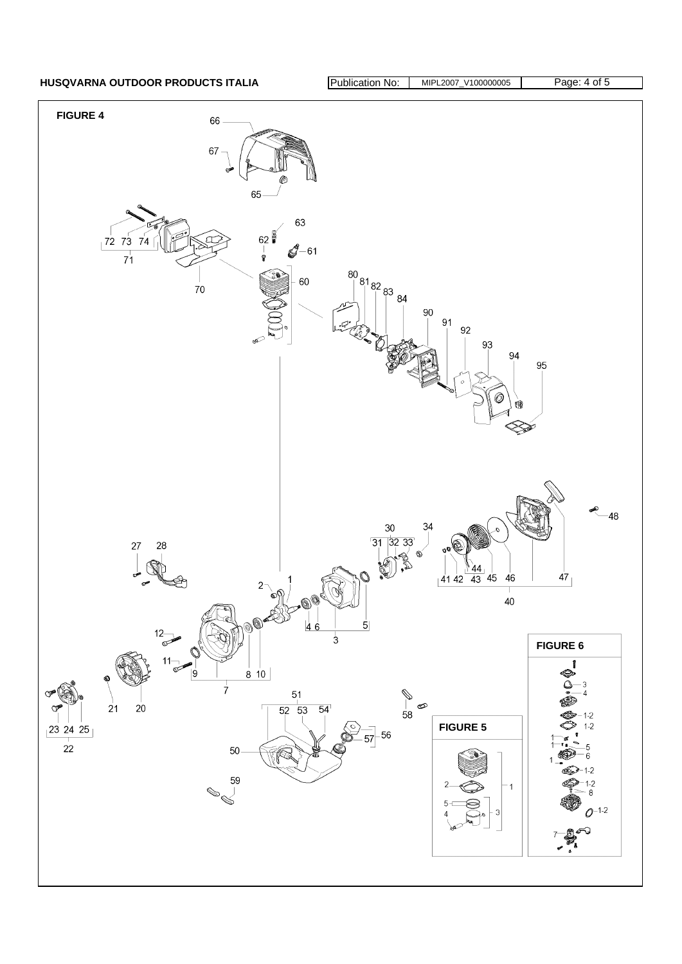HUSQVARNA OUTDOOR PRODUCTS ITALIA **Publication No: MIPL2007\_V100000005** Page: 4 of 5